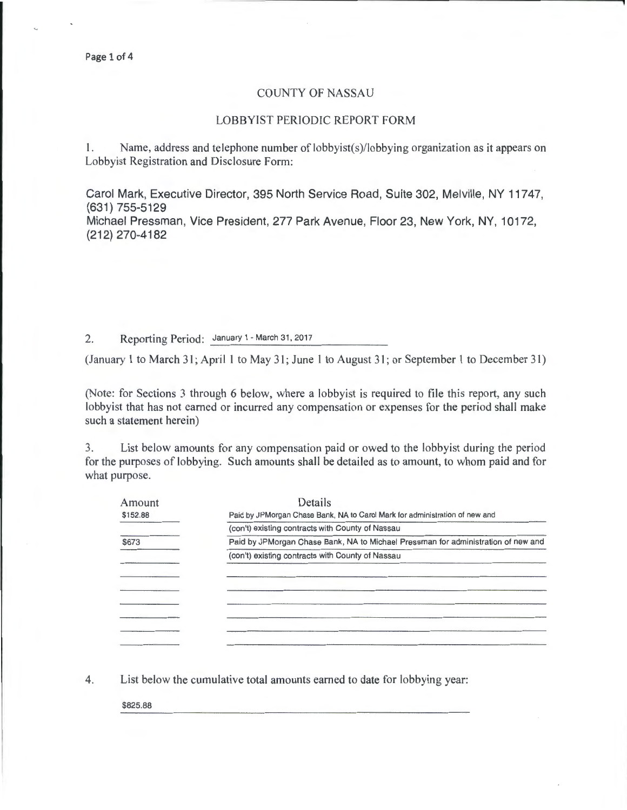## COUNTY OF NASSAU

## LOBBYIST PERIODIC REPORT FORM

I. Name, address and telephone number of lobbyist(s)/lobbying organization as it appears on Lobbyist Registration and Disclosure Form:

Carol Mark, Executive Director, 395 North Service Road, Suite 302, Melville, NY 11747, (631) 755-5129

Michael Pressman, Vice President, 277 Park Avenue, Floor 23, New York, NY, 10172, (212) 270-4182

2. Reporting Period: January 1- March 31,2017

(January 1 to March 31; April 1 to May 31; June 1 to August 31; or September 1 to December 31)

(Note: for Sections 3 through 6 below, where a lobbyist is required to file this report, any such lobbyist that has not earned or incurred any compensation or expenses for the period shall make such a statement herein)

3. List below amounts for any compensation paid or owed to the lobbyist during the period for the purposes of lobbying. Such amounts shall be detailed as to amount, to whom paid and for what purpose.

| Amount   | Details                                                                           |  |  |  |
|----------|-----------------------------------------------------------------------------------|--|--|--|
| \$152.88 | Paid by JPMorgan Chase Bank, NA to Carol Mark for administration of new and       |  |  |  |
|          | (con't) existing contracts with County of Nassau                                  |  |  |  |
| \$673    | Paid by JPMorgan Chase Bank, NA to Michael Pressman for administration of new and |  |  |  |
|          | (con't) existing contracts with County of Nassau                                  |  |  |  |
|          |                                                                                   |  |  |  |
|          |                                                                                   |  |  |  |
|          |                                                                                   |  |  |  |
|          |                                                                                   |  |  |  |
|          |                                                                                   |  |  |  |
|          |                                                                                   |  |  |  |
|          |                                                                                   |  |  |  |

4. List below the cumulative total amounts earned to date for lobbying year:

\$825.88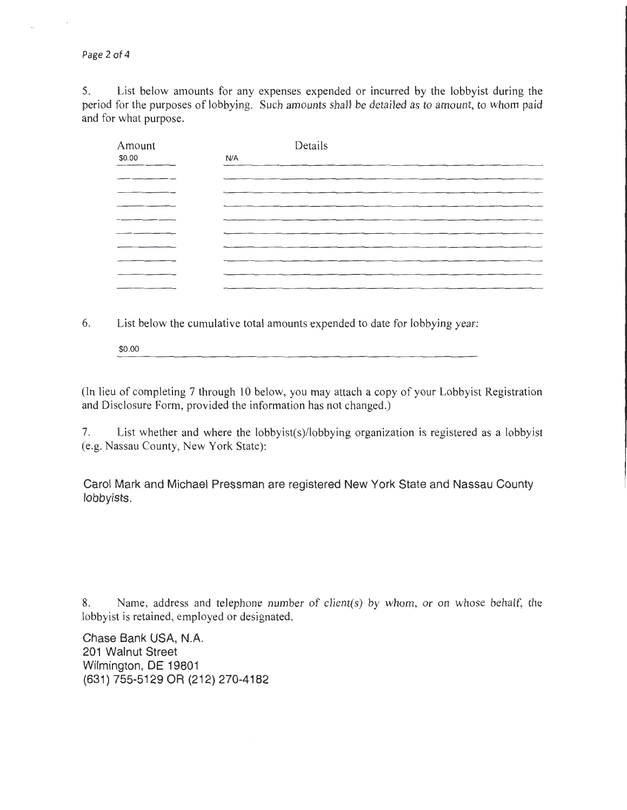Page 2 of 4

5. List below amounts for any expenses expended or incurred by the lobbyist during the period for the purposes of lobbying. Such amounts shall be detailed as to amount, to whom paid and for what purpose.

| Amount | Details |
|--------|---------|
| \$0.00 | N/A     |
|        |         |
|        |         |
|        |         |
|        |         |
|        |         |
|        |         |
|        |         |
|        |         |
|        |         |
|        |         |

6. List below the cumulative total amounts expended to date for lobbying year:

\$0.00

(In lieu of completing 7 through 10 below, you may attach a copy of your Lobbyist Registration and Disclosure Form, provided the information has not changed.)

7. List whether and where the lobbyist(s)/lobbying organization is registered as a lobbyist (e.g. Nassau County, New York State):

Carol Mark and Michael Pressman are registered New York State and Nassau County lobbyists.

8. Name, address and telephone number of client(s) by whom, or on whose behalf, the lobbyist is retained, employed or designated.

Chase Bank USA, N.A. 201 Walnut Street Wilmington, DE 19801 (631) 755-5129 OR (212) 270-4182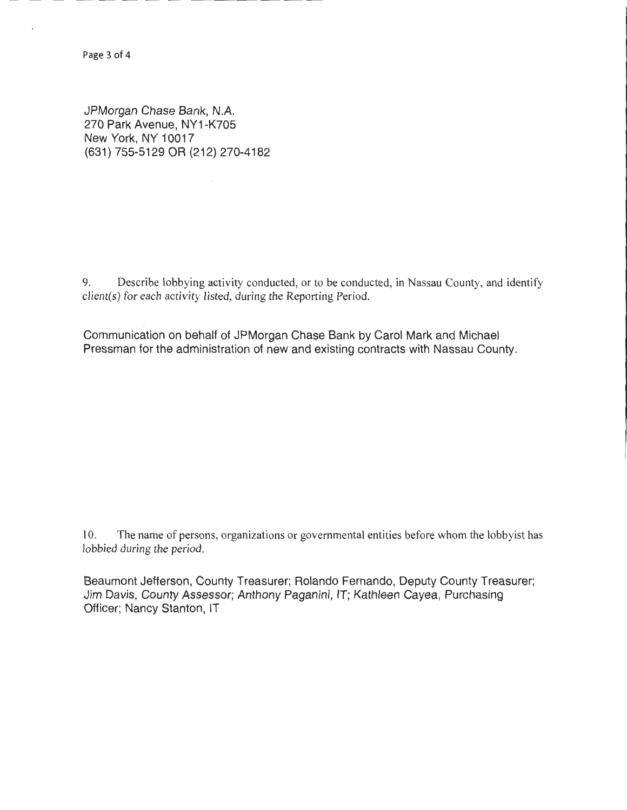JPMorgan Chase Bank, N.A. 270 Park Avenue, NY1-K705 New York, NY 10017 (631) 755-5129 OR (212) 270-4182

9. Describe lobbying activity conducted, or to be conducted, in Nassau County, and identify client(s) for each activity listed, during the Reporting Period.

Communication on behalf of JPMorgan Chase Bank by Carol Mark and Michael Pressman for the administration of new and existing contracts with Nassau County.

10. The name of persons, organizations or governmental entities before whom the lobbyist has lobbied during the period.

Beaumont Jefferson, County Treasurer; Rolando Fernando, Deputy County Treasurer; Jim Davis, County Assessor; Anthony Paganini, IT; Kathleen Cayea, Purchasing Officer; Nancy Stanton, IT